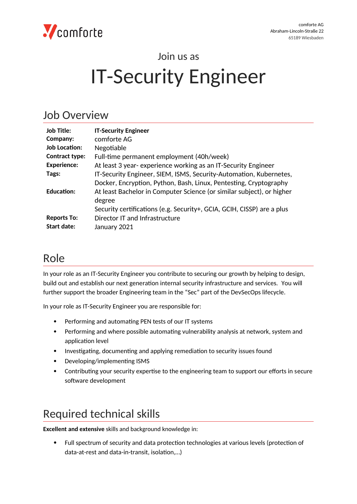

# Join us as IT-Security Engineer

#### Job Overview

| <b>Job Title:</b>     | <b>IT-Security Engineer</b>                                            |
|-----------------------|------------------------------------------------------------------------|
| Company:              | comforte AG                                                            |
| <b>Job Location:</b>  | Negotiable                                                             |
| <b>Contract type:</b> | Full-time permanent employment (40h/week)                              |
| <b>Experience:</b>    | At least 3 year- experience working as an IT-Security Engineer         |
| Tags:                 | IT-Security Engineer, SIEM, ISMS, Security-Automation, Kubernetes,     |
|                       | Docker, Encryption, Python, Bash, Linux, Pentesting, Cryptography      |
| <b>Education:</b>     | At least Bachelor in Computer Science (or similar subject), or higher  |
|                       | degree                                                                 |
|                       | Security certifications (e.g. Security+, GCIA, GCIH, CISSP) are a plus |
| <b>Reports To:</b>    | Director IT and Infrastructure                                         |
| Start date:           | January 2021                                                           |

#### Role

In your role as an IT-Security Engineer you contribute to securing our growth by helping to design, build out and establish our next generation internal security infrastructure and services. You will further support the broader Engineering team in the "Sec" part of the DevSecOps lifecycle.

In your role as IT-Security Engineer you are responsible for:

- Performing and automating PEN tests of our IT systems
- Performing and where possible automating vulnerability analysis at network, system and application level
- Investigating, documenting and applying remediation to security issues found
- Developing/implementing ISMS
- Contributing your security expertise to the engineering team to support our efforts in secure software development

## Required technical skills

**Excellent and extensive** skills and background knowledge in:

 Full spectrum of security and data protection technologies at various levels (protection of data-at-rest and data-in-transit, isolation,…)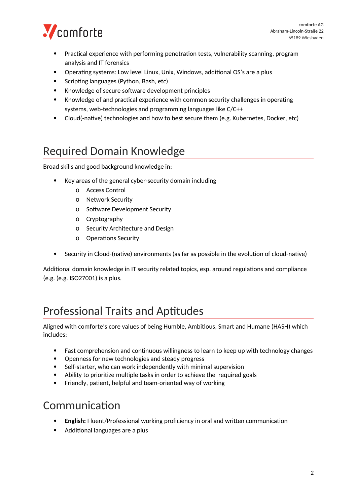

- Practical experience with performing penetration tests, vulnerability scanning, program analysis and IT forensics
- Operating systems: Low level Linux, Unix, Windows, additional OS's are a plus
- Scripting languages (Python, Bash, etc)
- Knowledge of secure software development principles
- Knowledge of and practical experience with common security challenges in operating systems, web-technologies and programming languages like C/C++
- Cloud(-native) technologies and how to best secure them (e.g. Kubernetes, Docker, etc)

## Required Domain Knowledge

Broad skills and good background knowledge in:

- Key areas of the general cyber-security domain including
	- o Access Control
	- o Network Security
	- o Software Development Security
	- o Cryptography
	- o Security Architecture and Design
	- o Operations Security
- Security in Cloud-(native) environments (as far as possible in the evolution of cloud-native)

Additional domain knowledge in IT security related topics, esp. around regulations and compliance (e.g. (e.g. ISO27001) is a plus.

## Professional Traits and Aptitudes

Aligned with comforte's core values of being Humble, Ambitious, Smart and Humane (HASH) which includes:

- Fast comprehension and continuous willingness to learn to keep up with technology changes
- Openness for new technologies and steady progress
- Self-starter, who can work independently with minimal supervision
- Ability to prioritize multiple tasks in order to achieve the required goals
- Friendly, patient, helpful and team-oriented way of working

#### Communication

- **English:** Fluent/Professional working proficiency in oral and written communication
- Additional languages are a plus